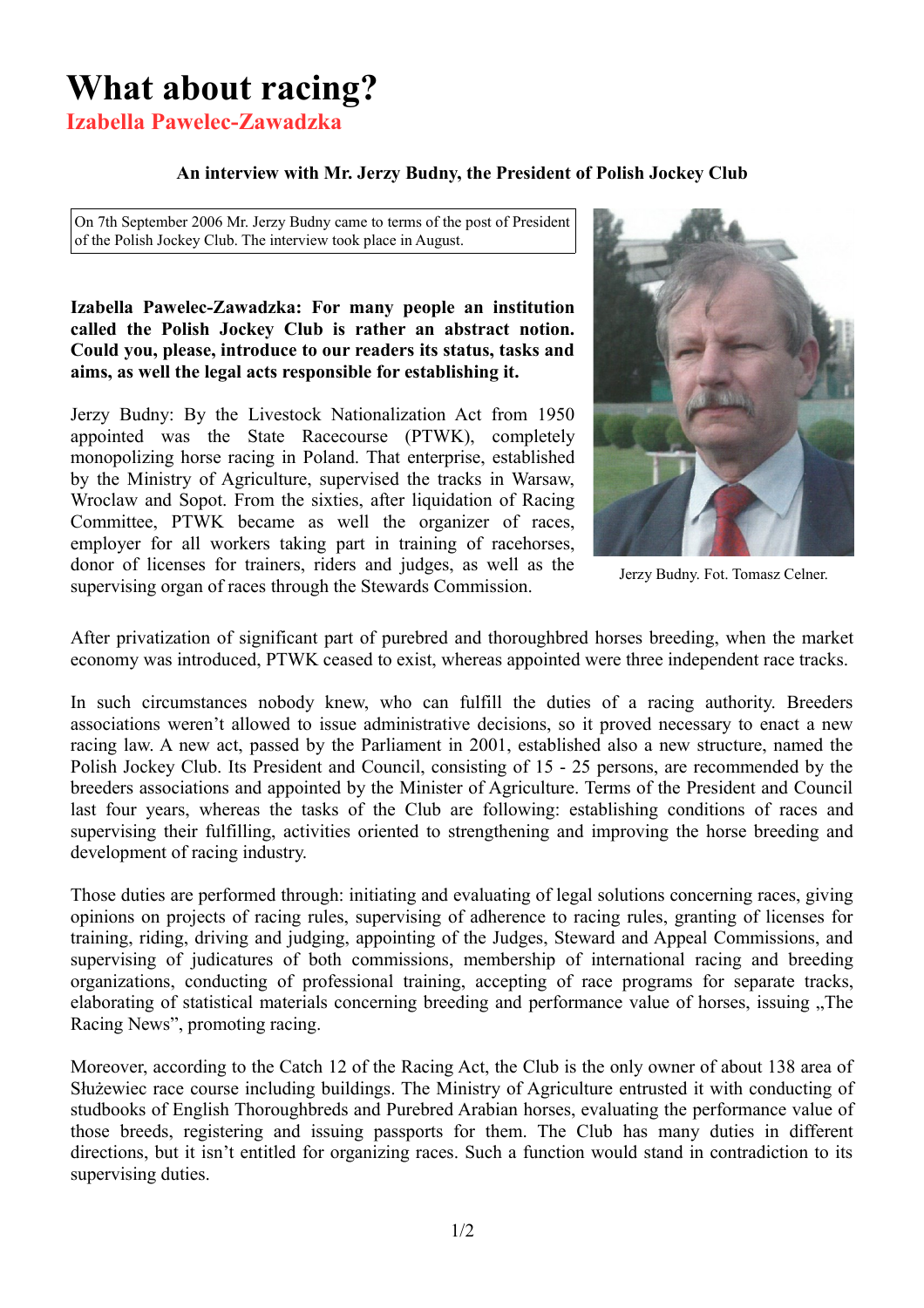# **What about racing?**

**Izabella Pawelec-Zawadzka**

## **An interview with Mr. Jerzy Budny, the President of Polish Jockey Club**

On 7th September 2006 Mr. Jerzy Budny came to terms of the post of President of the Polish Jockey Club. The interview took place in August.

#### **Izabella Pawelec-Zawadzka: For many people an institution called the Polish Jockey Club is rather an abstract notion. Could you, please, introduce to our readers its status, tasks and aims, as well the legal acts responsible for establishing it.**

Jerzy Budny: By the Livestock Nationalization Act from 1950 appointed was the State Racecourse (PTWK), completely monopolizing horse racing in Poland. That enterprise, established by the Ministry of Agriculture, supervised the tracks in Warsaw, Wroclaw and Sopot. From the sixties, after liquidation of Racing Committee, PTWK became as well the organizer of races, employer for all workers taking part in training of racehorses, donor of licenses for trainers, riders and judges, as well as the supervising organ of races through the Stewards Commission.



Jerzy Budny. Fot. Tomasz Celner.

After privatization of significant part of purebred and thoroughbred horses breeding, when the market economy was introduced, PTWK ceased to exist, whereas appointed were three independent race tracks.

In such circumstances nobody knew, who can fulfill the duties of a racing authority. Breeders associations weren't allowed to issue administrative decisions, so it proved necessary to enact a new racing law. A new act, passed by the Parliament in 2001, established also a new structure, named the Polish Jockey Club. Its President and Council, consisting of 15 - 25 persons, are recommended by the breeders associations and appointed by the Minister of Agriculture. Terms of the President and Council last four years, whereas the tasks of the Club are following: establishing conditions of races and supervising their fulfilling, activities oriented to strengthening and improving the horse breeding and development of racing industry.

Those duties are performed through: initiating and evaluating of legal solutions concerning races, giving opinions on projects of racing rules, supervising of adherence to racing rules, granting of licenses for training, riding, driving and judging, appointing of the Judges, Steward and Appeal Commissions, and supervising of judicatures of both commissions, membership of international racing and breeding organizations, conducting of professional training, accepting of race programs for separate tracks, elaborating of statistical materials concerning breeding and performance value of horses, issuing ...The Racing News", promoting racing.

Moreover, according to the Catch 12 of the Racing Act, the Club is the only owner of about 138 area of Służewiec race course including buildings. The Ministry of Agriculture entrusted it with conducting of studbooks of English Thoroughbreds and Purebred Arabian horses, evaluating the performance value of those breeds, registering and issuing passports for them. The Club has many duties in different directions, but it isn't entitled for organizing races. Such a function would stand in contradiction to its supervising duties.